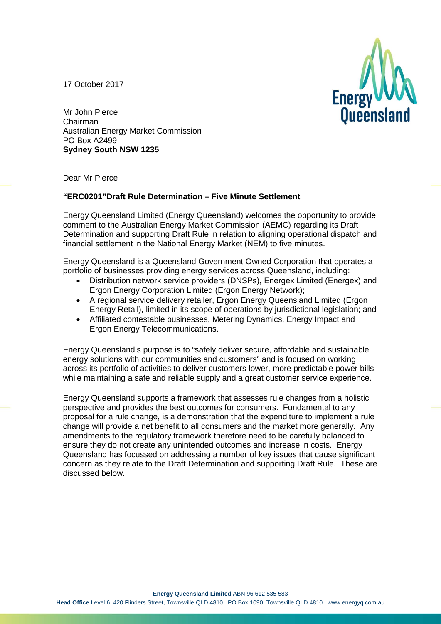17 October 2017



Mr John Pierce Chairman Australian Energy Market Commission PO Box A2499 **Sydney South NSW 1235**

Dear Mr Pierce

# **"ERC0201"Draft Rule Determination – Five Minute Settlement**

Energy Queensland Limited (Energy Queensland) welcomes the opportunity to provide comment to the Australian Energy Market Commission (AEMC) regarding its Draft Determination and supporting Draft Rule in relation to aligning operational dispatch and financial settlement in the National Energy Market (NEM) to five minutes.

Energy Queensland is a Queensland Government Owned Corporation that operates a portfolio of businesses providing energy services across Queensland, including:

- Distribution network service providers (DNSPs), Energex Limited (Energex) and Ergon Energy Corporation Limited (Ergon Energy Network);
- A regional service delivery retailer, Ergon Energy Queensland Limited (Ergon Energy Retail), limited in its scope of operations by jurisdictional legislation; and
- Affiliated contestable businesses, Metering Dynamics, Energy Impact and Ergon Energy Telecommunications.

Energy Queensland's purpose is to "safely deliver secure, affordable and sustainable energy solutions with our communities and customers" and is focused on working across its portfolio of activities to deliver customers lower, more predictable power bills while maintaining a safe and reliable supply and a great customer service experience.

Energy Queensland supports a framework that assesses rule changes from a holistic perspective and provides the best outcomes for consumers. Fundamental to any proposal for a rule change, is a demonstration that the expenditure to implement a rule change will provide a net benefit to all consumers and the market more generally. Any amendments to the regulatory framework therefore need to be carefully balanced to ensure they do not create any unintended outcomes and increase in costs. Energy Queensland has focussed on addressing a number of key issues that cause significant concern as they relate to the Draft Determination and supporting Draft Rule. These are discussed below.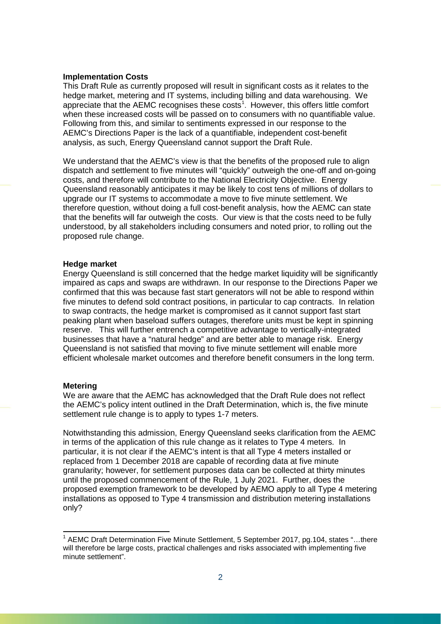## **Implementation Costs**

This Draft Rule as currently proposed will result in significant costs as it relates to the hedge market, metering and IT systems, including billing and data warehousing. We appreciate that the AEMC recognises these costs<sup>[1](#page-1-0)</sup>. However, this offers little comfort when these increased costs will be passed on to consumers with no quantifiable value. Following from this, and similar to sentiments expressed in our response to the AEMC's Directions Paper is the lack of a quantifiable, independent cost-benefit analysis, as such, Energy Queensland cannot support the Draft Rule.

We understand that the AEMC's view is that the benefits of the proposed rule to align dispatch and settlement to five minutes will "quickly" outweigh the one-off and on-going costs, and therefore will contribute to the National Electricity Objective. Energy Queensland reasonably anticipates it may be likely to cost tens of millions of dollars to upgrade our IT systems to accommodate a move to five minute settlement. We therefore question, without doing a full cost-benefit analysis, how the AEMC can state that the benefits will far outweigh the costs. Our view is that the costs need to be fully understood, by all stakeholders including consumers and noted prior, to rolling out the proposed rule change.

#### **Hedge market**

Energy Queensland is still concerned that the hedge market liquidity will be significantly impaired as caps and swaps are withdrawn. In our response to the Directions Paper we confirmed that this was because fast start generators will not be able to respond within five minutes to defend sold contract positions, in particular to cap contracts. In relation to swap contracts, the hedge market is compromised as it cannot support fast start peaking plant when baseload suffers outages, therefore units must be kept in spinning reserve. This will further entrench a competitive advantage to vertically-integrated businesses that have a "natural hedge" and are better able to manage risk. Energy Queensland is not satisfied that moving to five minute settlement will enable more efficient wholesale market outcomes and therefore benefit consumers in the long term.

### **Metering**

 $\overline{a}$ 

We are aware that the AEMC has acknowledged that the Draft Rule does not reflect the AEMC's policy intent outlined in the Draft Determination, which is, the five minute settlement rule change is to apply to types 1-7 meters.

Notwithstanding this admission, Energy Queensland seeks clarification from the AEMC in terms of the application of this rule change as it relates to Type 4 meters. In particular, it is not clear if the AEMC's intent is that all Type 4 meters installed or replaced from 1 December 2018 are capable of recording data at five minute granularity; however, for settlement purposes data can be collected at thirty minutes until the proposed commencement of the Rule, 1 July 2021. Further, does the proposed exemption framework to be developed by AEMO apply to all Type 4 metering installations as opposed to Type 4 transmission and distribution metering installations only?

<span id="page-1-0"></span> $1$  AEMC Draft Determination Five Minute Settlement, 5 September 2017, pg.104, states "...there will therefore be large costs, practical challenges and risks associated with implementing five minute settlement".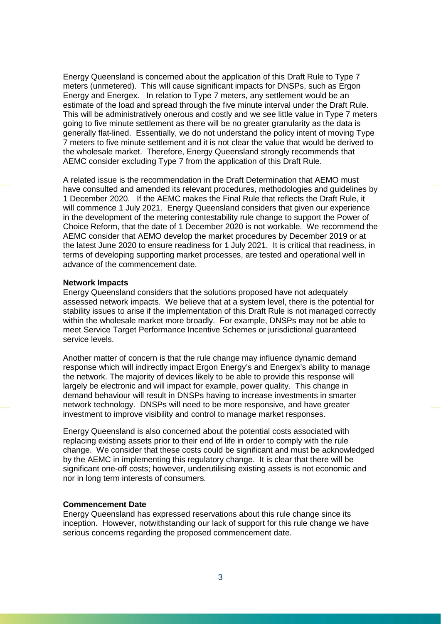Energy Queensland is concerned about the application of this Draft Rule to Type 7 meters (unmetered). This will cause significant impacts for DNSPs, such as Ergon Energy and Energex. In relation to Type 7 meters, any settlement would be an estimate of the load and spread through the five minute interval under the Draft Rule. This will be administratively onerous and costly and we see little value in Type 7 meters going to five minute settlement as there will be no greater granularity as the data is generally flat-lined. Essentially, we do not understand the policy intent of moving Type 7 meters to five minute settlement and it is not clear the value that would be derived to the wholesale market. Therefore, Energy Queensland strongly recommends that AEMC consider excluding Type 7 from the application of this Draft Rule.

A related issue is the recommendation in the Draft Determination that AEMO must have consulted and amended its relevant procedures, methodologies and guidelines by 1 December 2020. If the AEMC makes the Final Rule that reflects the Draft Rule, it will commence 1 July 2021. Energy Queensland considers that given our experience in the development of the metering contestability rule change to support the Power of Choice Reform, that the date of 1 December 2020 is not workable. We recommend the AEMC consider that AEMO develop the market procedures by December 2019 or at the latest June 2020 to ensure readiness for 1 July 2021. It is critical that readiness, in terms of developing supporting market processes, are tested and operational well in advance of the commencement date.

#### **Network Impacts**

Energy Queensland considers that the solutions proposed have not adequately assessed network impacts. We believe that at a system level, there is the potential for stability issues to arise if the implementation of this Draft Rule is not managed correctly within the wholesale market more broadly. For example, DNSPs may not be able to meet Service Target Performance Incentive Schemes or jurisdictional guaranteed service levels.

Another matter of concern is that the rule change may influence dynamic demand response which will indirectly impact Ergon Energy's and Energex's ability to manage the network. The majority of devices likely to be able to provide this response will largely be electronic and will impact for example, power quality. This change in demand behaviour will result in DNSPs having to increase investments in smarter network technology. DNSPs will need to be more responsive, and have greater investment to improve visibility and control to manage market responses.

Energy Queensland is also concerned about the potential costs associated with replacing existing assets prior to their end of life in order to comply with the rule change. We consider that these costs could be significant and must be acknowledged by the AEMC in implementing this regulatory change. It is clear that there will be significant one-off costs; however, underutilising existing assets is not economic and nor in long term interests of consumers.

## **Commencement Date**

Energy Queensland has expressed reservations about this rule change since its inception. However, notwithstanding our lack of support for this rule change we have serious concerns regarding the proposed commencement date.